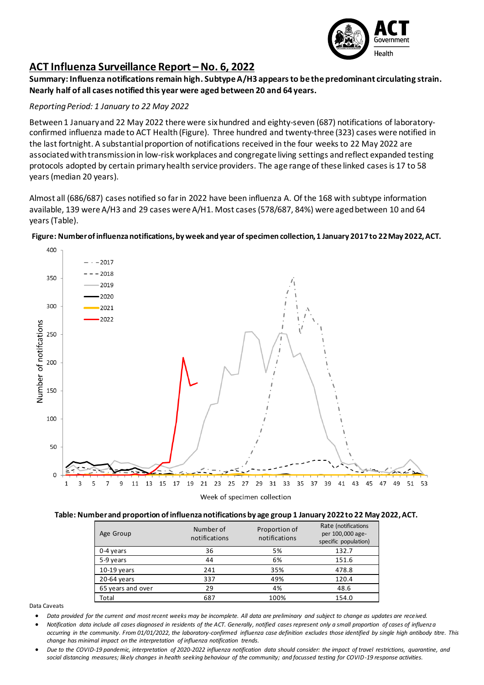

## **ACT Influenza Surveillance Report – No. 6, 2022**

**Summary: Influenza notifications remain high. Subtype A/H3 appears to be the predominant circulating strain. Nearly half of all cases notified this year were aged between 20 and 64 years.**

## *Reporting Period: 1 January to 22 May 2022*

Between 1 January and 22 May 2022 there were six hundred and eighty-seven (687) notifications of laboratoryconfirmed influenza made to ACT Health (Figure). Three hundred and twenty-three (323) cases were notified in the last fortnight. A substantial proportion of notifications received in the four weeks to 22 May 2022 are associated with transmission in low-risk workplaces and congregate living settings and reflect expanded testing protocols adopted by certain primary health service providers. The age range of these linked cases is 17 to 58 years (median 20 years).

Almost all (686/687) cases notified so far in 2022 have been influenza A. Of the 168 with subtype information available, 139 were A/H3 and 29 cases were A/H1. Most cases (578/687, 84%) were aged between 10 and 64 years(Table).



**Figure: Number of influenza notifications, by week and year of specimen collection, 1 January 2017to 22May 2022, ACT.**

## **Table: Number and proportion of influenza notifications by age group 1 January 2022to 22 May 2022, ACT.**

| Age Group         | Number of<br>notifications | Proportion of<br>notifications | Rate (notifications<br>per 100,000 age-<br>specific population) |
|-------------------|----------------------------|--------------------------------|-----------------------------------------------------------------|
| 0-4 years         | 36                         | 5%                             | 132.7                                                           |
| 5-9 years         | 44                         | 6%                             | 151.6                                                           |
| $10-19$ years     | 241                        | 35%                            | 478.8                                                           |
| 20-64 years       | 337                        | 49%                            | 120.4                                                           |
| 65 years and over | 29                         | 4%                             | 48.6                                                            |
| Total             | 687                        | 100%                           | 154.0                                                           |

Data Caveats

• *Data provided for the current and most recent weeks may be incomplete. All data are preliminary and subject to change as updates are received.* 

• *Notification data include all cases diagnosed in residents of the ACT. Generally, notified cases represent only a small proportion of cases of influenza occurring in the community. From 01/01/2022, the laboratory-confirmed influenza case definition excludes those identified by single high antibody titre. This change has minimal impact on the interpretation of influenza notification trends.* 

• *Due to the COVID-19 pandemic, interpretation of 2020-2022 influenza notification data should consider: the impact of travel restrictions, quarantine, and social distancing measures; likely changes in health seeking behaviour of the community; and focussed testing for COVID-19 response activities.*